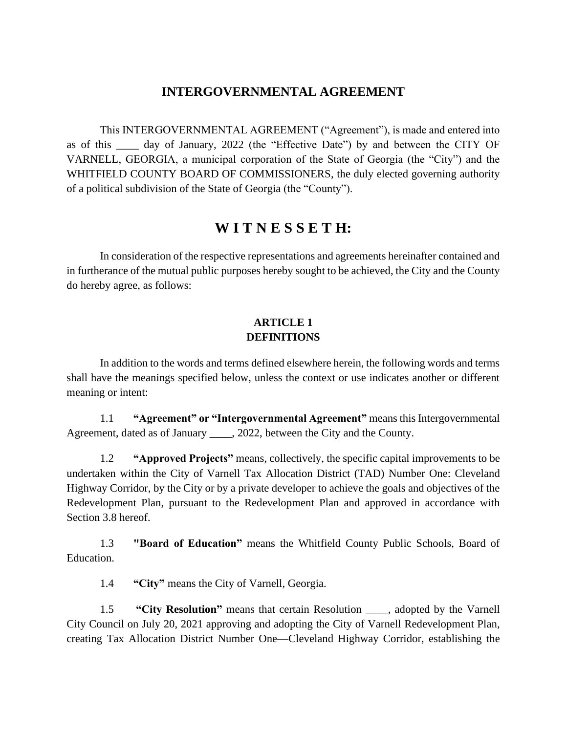# **INTERGOVERNMENTAL AGREEMENT**

This INTERGOVERNMENTAL AGREEMENT ("Agreement"), is made and entered into as of this \_\_\_\_ day of January, 2022 (the "Effective Date") by and between the CITY OF VARNELL, GEORGIA, a municipal corporation of the State of Georgia (the "City") and the WHITFIELD COUNTY BOARD OF COMMISSIONERS, the duly elected governing authority of a political subdivision of the State of Georgia (the "County").

# **W I T N E S S E T H:**

In consideration of the respective representations and agreements hereinafter contained and in furtherance of the mutual public purposes hereby sought to be achieved, the City and the County do hereby agree, as follows:

### **ARTICLE 1 DEFINITIONS**

In addition to the words and terms defined elsewhere herein, the following words and terms shall have the meanings specified below, unless the context or use indicates another or different meaning or intent:

1.1 **"Agreement" or "Intergovernmental Agreement"** means this Intergovernmental Agreement, dated as of January \_\_\_\_, 2022, between the City and the County.

1.2 **"Approved Projects"** means, collectively, the specific capital improvements to be undertaken within the City of Varnell Tax Allocation District (TAD) Number One: Cleveland Highway Corridor, by the City or by a private developer to achieve the goals and objectives of the Redevelopment Plan, pursuant to the Redevelopment Plan and approved in accordance with Section 3.8 hereof.

1.3 **"Board of Education"** means the Whitfield County Public Schools, Board of Education.

1.4 **"City"** means the City of Varnell, Georgia.

1.5 **"City Resolution"** means that certain Resolution \_\_\_\_, adopted by the Varnell City Council on July 20, 2021 approving and adopting the City of Varnell Redevelopment Plan, creating Tax Allocation District Number One—Cleveland Highway Corridor, establishing the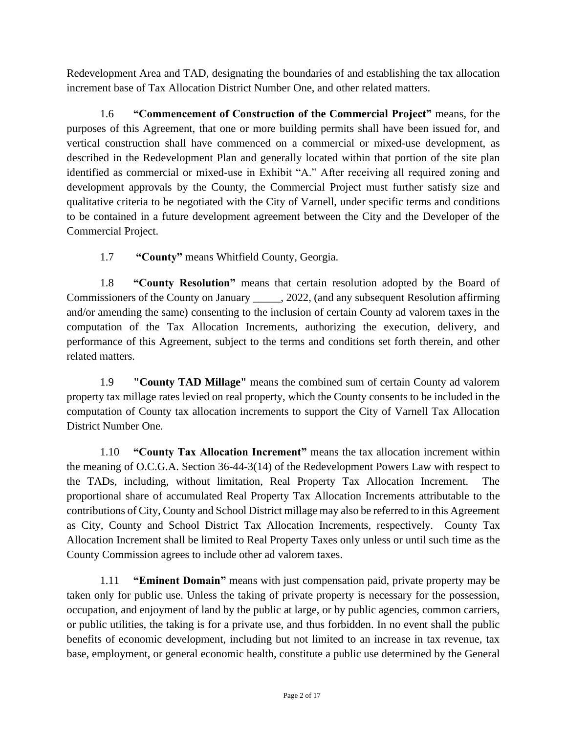Redevelopment Area and TAD, designating the boundaries of and establishing the tax allocation increment base of Tax Allocation District Number One, and other related matters.

1.6 **"Commencement of Construction of the Commercial Project"** means, for the purposes of this Agreement, that one or more building permits shall have been issued for, and vertical construction shall have commenced on a commercial or mixed-use development, as described in the Redevelopment Plan and generally located within that portion of the site plan identified as commercial or mixed-use in Exhibit "A." After receiving all required zoning and development approvals by the County, the Commercial Project must further satisfy size and qualitative criteria to be negotiated with the City of Varnell, under specific terms and conditions to be contained in a future development agreement between the City and the Developer of the Commercial Project.

1.7 **"County"** means Whitfield County, Georgia.

1.8 **"County Resolution"** means that certain resolution adopted by the Board of Commissioners of the County on January \_\_\_\_\_, 2022, (and any subsequent Resolution affirming and/or amending the same) consenting to the inclusion of certain County ad valorem taxes in the computation of the Tax Allocation Increments, authorizing the execution, delivery, and performance of this Agreement, subject to the terms and conditions set forth therein, and other related matters.

1.9 **"County TAD Millage"** means the combined sum of certain County ad valorem property tax millage rates levied on real property, which the County consents to be included in the computation of County tax allocation increments to support the City of Varnell Tax Allocation District Number One.

1.10 **"County Tax Allocation Increment"** means the tax allocation increment within the meaning of O.C.G.A. Section 36-44-3(14) of the Redevelopment Powers Law with respect to the TADs, including, without limitation, Real Property Tax Allocation Increment. The proportional share of accumulated Real Property Tax Allocation Increments attributable to the contributions of City, County and School District millage may also be referred to in this Agreement as City, County and School District Tax Allocation Increments, respectively. County Tax Allocation Increment shall be limited to Real Property Taxes only unless or until such time as the County Commission agrees to include other ad valorem taxes.

1.11 **"Eminent Domain"** means with just compensation paid, private property may be taken only for public use. Unless the taking of private property is necessary for the possession, occupation, and enjoyment of land by the public at large, or by public agencies, common carriers, or public utilities, the taking is for a private use, and thus forbidden. In no event shall the public benefits of economic development, including but not limited to an increase in tax revenue, tax base, employment, or general economic health, constitute a public use determined by the General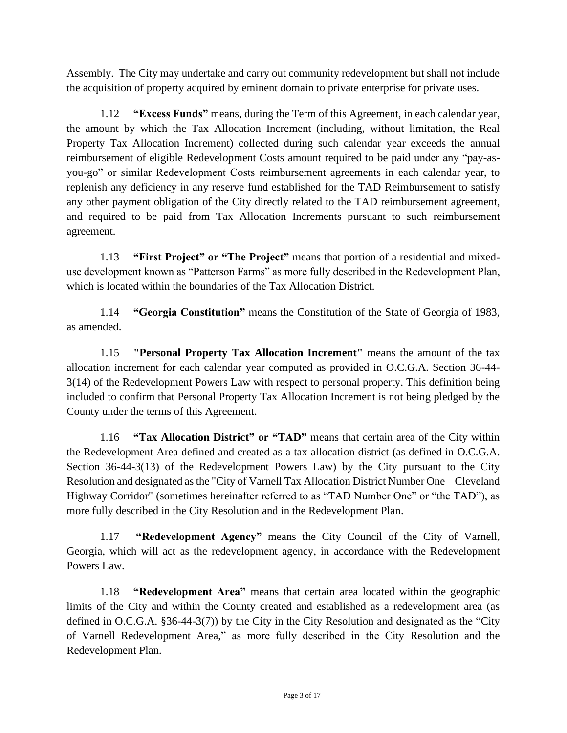Assembly. The City may undertake and carry out community redevelopment but shall not include the acquisition of property acquired by eminent domain to private enterprise for private uses.

1.12 **"Excess Funds"** means, during the Term of this Agreement, in each calendar year, the amount by which the Tax Allocation Increment (including, without limitation, the Real Property Tax Allocation Increment) collected during such calendar year exceeds the annual reimbursement of eligible Redevelopment Costs amount required to be paid under any "pay-asyou-go" or similar Redevelopment Costs reimbursement agreements in each calendar year, to replenish any deficiency in any reserve fund established for the TAD Reimbursement to satisfy any other payment obligation of the City directly related to the TAD reimbursement agreement, and required to be paid from Tax Allocation Increments pursuant to such reimbursement agreement.

1.13 **"First Project" or "The Project"** means that portion of a residential and mixeduse development known as "Patterson Farms" as more fully described in the Redevelopment Plan, which is located within the boundaries of the Tax Allocation District.

1.14 **"Georgia Constitution"** means the Constitution of the State of Georgia of 1983, as amended.

1.15 **"Personal Property Tax Allocation Increment"** means the amount of the tax allocation increment for each calendar year computed as provided in O.C.G.A. Section 36-44- 3(14) of the Redevelopment Powers Law with respect to personal property. This definition being included to confirm that Personal Property Tax Allocation Increment is not being pledged by the County under the terms of this Agreement.

1.16 **"Tax Allocation District" or "TAD"** means that certain area of the City within the Redevelopment Area defined and created as a tax allocation district (as defined in O.C.G.A. Section 36-44-3(13) of the Redevelopment Powers Law) by the City pursuant to the City Resolution and designated as the "City of Varnell Tax Allocation District Number One – Cleveland Highway Corridor" (sometimes hereinafter referred to as "TAD Number One" or "the TAD"), as more fully described in the City Resolution and in the Redevelopment Plan.

1.17 **"Redevelopment Agency"** means the City Council of the City of Varnell, Georgia, which will act as the redevelopment agency, in accordance with the Redevelopment Powers Law.

1.18 **"Redevelopment Area"** means that certain area located within the geographic limits of the City and within the County created and established as a redevelopment area (as defined in O.C.G.A. §36-44-3(7)) by the City in the City Resolution and designated as the "City of Varnell Redevelopment Area," as more fully described in the City Resolution and the Redevelopment Plan.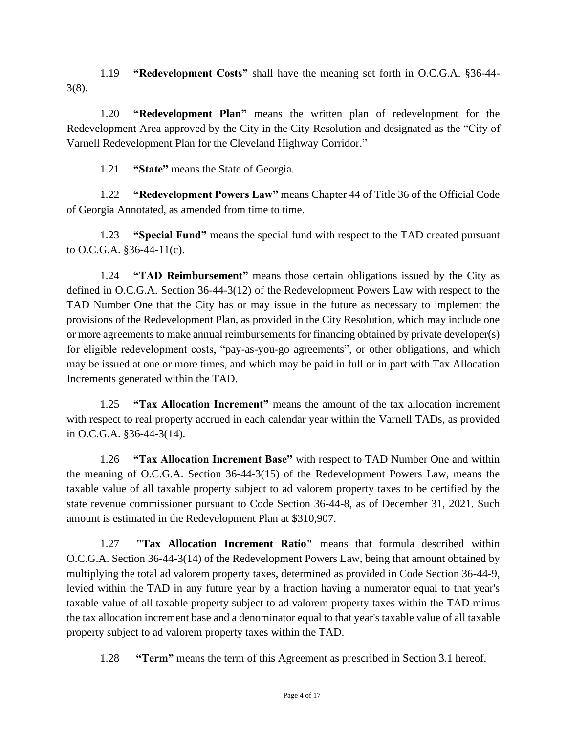1.19 **"Redevelopment Costs"** shall have the meaning set forth in O.C.G.A. §36-44- 3(8).

1.20 **"Redevelopment Plan"** means the written plan of redevelopment for the Redevelopment Area approved by the City in the City Resolution and designated as the "City of Varnell Redevelopment Plan for the Cleveland Highway Corridor."

1.21 **"State"** means the State of Georgia.

1.22 **"Redevelopment Powers Law"** means Chapter 44 of Title 36 of the Official Code of Georgia Annotated, as amended from time to time.

1.23 **"Special Fund"** means the special fund with respect to the TAD created pursuant to O.C.G.A. §36-44-11(c).

1.24 **"TAD Reimbursement"** means those certain obligations issued by the City as defined in O.C.G.A. Section 36-44-3(12) of the Redevelopment Powers Law with respect to the TAD Number One that the City has or may issue in the future as necessary to implement the provisions of the Redevelopment Plan, as provided in the City Resolution, which may include one or more agreements to make annual reimbursements for financing obtained by private developer(s) for eligible redevelopment costs, "pay-as-you-go agreements", or other obligations, and which may be issued at one or more times, and which may be paid in full or in part with Tax Allocation Increments generated within the TAD.

1.25 **"Tax Allocation Increment"** means the amount of the tax allocation increment with respect to real property accrued in each calendar year within the Varnell TADs, as provided in O.C.G.A. §36-44-3(14).

1.26 **"Tax Allocation Increment Base"** with respect to TAD Number One and within the meaning of O.C.G.A. Section 36-44-3(15) of the Redevelopment Powers Law, means the taxable value of all taxable property subject to ad valorem property taxes to be certified by the state revenue commissioner pursuant to Code Section 36-44-8, as of December 31, 2021. Such amount is estimated in the Redevelopment Plan at \$310,907.

1.27 **"Tax Allocation Increment Ratio"** means that formula described within O.C.G.A. Section 36-44-3(14) of the Redevelopment Powers Law, being that amount obtained by multiplying the total ad valorem property taxes, determined as provided in Code Section 36-44-9, levied within the TAD in any future year by a fraction having a numerator equal to that year's taxable value of all taxable property subject to ad valorem property taxes within the TAD minus the tax allocation increment base and a denominator equal to that year's taxable value of all taxable property subject to ad valorem property taxes within the TAD.

1.28 **"Term"** means the term of this Agreement as prescribed in Section 3.1 hereof.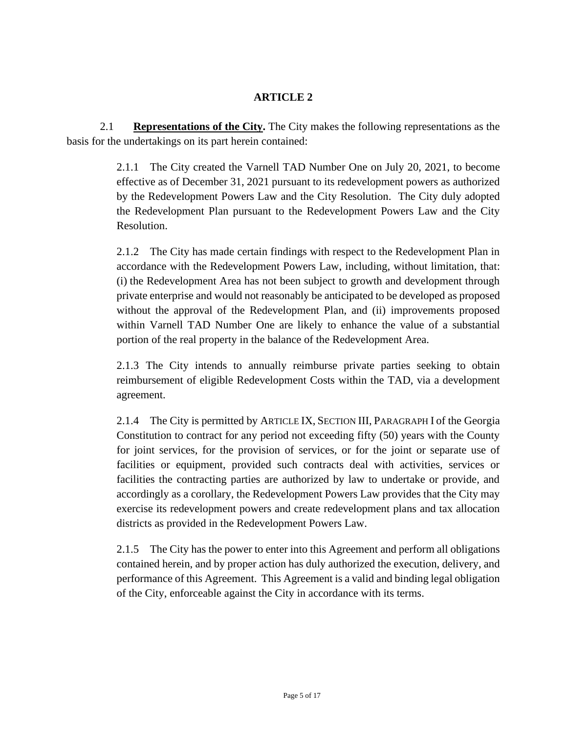# **ARTICLE 2**

2.1 **Representations of the City.** The City makes the following representations as the basis for the undertakings on its part herein contained:

> 2.1.1 The City created the Varnell TAD Number One on July 20, 2021, to become effective as of December 31, 2021 pursuant to its redevelopment powers as authorized by the Redevelopment Powers Law and the City Resolution. The City duly adopted the Redevelopment Plan pursuant to the Redevelopment Powers Law and the City Resolution.

> 2.1.2 The City has made certain findings with respect to the Redevelopment Plan in accordance with the Redevelopment Powers Law, including, without limitation, that: (i) the Redevelopment Area has not been subject to growth and development through private enterprise and would not reasonably be anticipated to be developed as proposed without the approval of the Redevelopment Plan, and (ii) improvements proposed within Varnell TAD Number One are likely to enhance the value of a substantial portion of the real property in the balance of the Redevelopment Area.

> 2.1.3 The City intends to annually reimburse private parties seeking to obtain reimbursement of eligible Redevelopment Costs within the TAD, via a development agreement.

> 2.1.4 The City is permitted by ARTICLE IX, SECTION III, PARAGRAPH I of the Georgia Constitution to contract for any period not exceeding fifty (50) years with the County for joint services, for the provision of services, or for the joint or separate use of facilities or equipment, provided such contracts deal with activities, services or facilities the contracting parties are authorized by law to undertake or provide, and accordingly as a corollary, the Redevelopment Powers Law provides that the City may exercise its redevelopment powers and create redevelopment plans and tax allocation districts as provided in the Redevelopment Powers Law.

> 2.1.5 The City has the power to enter into this Agreement and perform all obligations contained herein, and by proper action has duly authorized the execution, delivery, and performance of this Agreement. This Agreement is a valid and binding legal obligation of the City, enforceable against the City in accordance with its terms.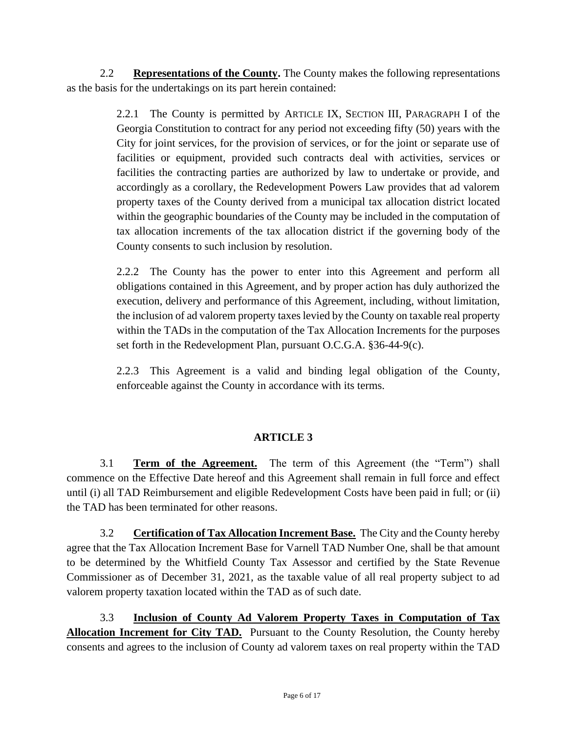2.2 **Representations of the County.** The County makes the following representations as the basis for the undertakings on its part herein contained:

> 2.2.1 The County is permitted by ARTICLE IX, SECTION III, PARAGRAPH I of the Georgia Constitution to contract for any period not exceeding fifty (50) years with the City for joint services, for the provision of services, or for the joint or separate use of facilities or equipment, provided such contracts deal with activities, services or facilities the contracting parties are authorized by law to undertake or provide, and accordingly as a corollary, the Redevelopment Powers Law provides that ad valorem property taxes of the County derived from a municipal tax allocation district located within the geographic boundaries of the County may be included in the computation of tax allocation increments of the tax allocation district if the governing body of the County consents to such inclusion by resolution.

> 2.2.2 The County has the power to enter into this Agreement and perform all obligations contained in this Agreement, and by proper action has duly authorized the execution, delivery and performance of this Agreement, including, without limitation, the inclusion of ad valorem property taxes levied by the County on taxable real property within the TADs in the computation of the Tax Allocation Increments for the purposes set forth in the Redevelopment Plan, pursuant O.C.G.A. §36-44-9(c).

> 2.2.3 This Agreement is a valid and binding legal obligation of the County, enforceable against the County in accordance with its terms.

# **ARTICLE 3**

3.1 **Term of the Agreement.** The term of this Agreement (the "Term") shall commence on the Effective Date hereof and this Agreement shall remain in full force and effect until (i) all TAD Reimbursement and eligible Redevelopment Costs have been paid in full; or (ii) the TAD has been terminated for other reasons.

3.2 **Certification of Tax Allocation Increment Base.** The City and the County hereby agree that the Tax Allocation Increment Base for Varnell TAD Number One, shall be that amount to be determined by the Whitfield County Tax Assessor and certified by the State Revenue Commissioner as of December 31, 2021, as the taxable value of all real property subject to ad valorem property taxation located within the TAD as of such date.

3.3 **Inclusion of County Ad Valorem Property Taxes in Computation of Tax Allocation Increment for City TAD.** Pursuant to the County Resolution, the County hereby consents and agrees to the inclusion of County ad valorem taxes on real property within the TAD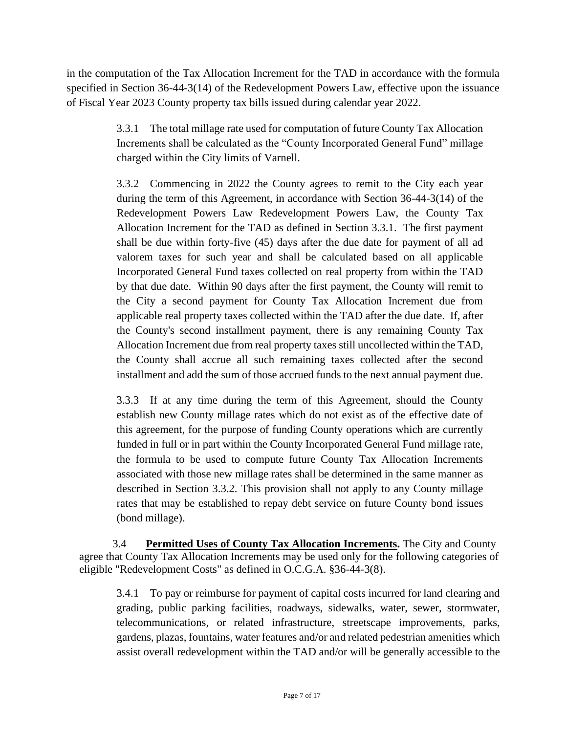in the computation of the Tax Allocation Increment for the TAD in accordance with the formula specified in Section 36-44-3(14) of the Redevelopment Powers Law, effective upon the issuance of Fiscal Year 2023 County property tax bills issued during calendar year 2022.

> 3.3.1 The total millage rate used for computation of future County Tax Allocation Increments shall be calculated as the "County Incorporated General Fund" millage charged within the City limits of Varnell.

> 3.3.2 Commencing in 2022 the County agrees to remit to the City each year during the term of this Agreement, in accordance with Section 36-44-3(14) of the Redevelopment Powers Law Redevelopment Powers Law, the County Tax Allocation Increment for the TAD as defined in Section 3.3.1. The first payment shall be due within forty-five (45) days after the due date for payment of all ad valorem taxes for such year and shall be calculated based on all applicable Incorporated General Fund taxes collected on real property from within the TAD by that due date. Within 90 days after the first payment, the County will remit to the City a second payment for County Tax Allocation Increment due from applicable real property taxes collected within the TAD after the due date. If, after the County's second installment payment, there is any remaining County Tax Allocation Increment due from real property taxes still uncollected within the TAD, the County shall accrue all such remaining taxes collected after the second installment and add the sum of those accrued funds to the next annual payment due.

> 3.3.3 If at any time during the term of this Agreement, should the County establish new County millage rates which do not exist as of the effective date of this agreement, for the purpose of funding County operations which are currently funded in full or in part within the County Incorporated General Fund millage rate, the formula to be used to compute future County Tax Allocation Increments associated with those new millage rates shall be determined in the same manner as described in Section 3.3.2. This provision shall not apply to any County millage rates that may be established to repay debt service on future County bond issues (bond millage).

3.4 **Permitted Uses of County Tax Allocation Increments.** The City and County agree that County Tax Allocation Increments may be used only for the following categories of eligible "Redevelopment Costs" as defined in O.C.G.A. §36-44-3(8).

3.4.1 To pay or reimburse for payment of capital costs incurred for land clearing and grading, public parking facilities, roadways, sidewalks, water, sewer, stormwater, telecommunications, or related infrastructure, streetscape improvements, parks, gardens, plazas, fountains, water features and/or and related pedestrian amenities which assist overall redevelopment within the TAD and/or will be generally accessible to the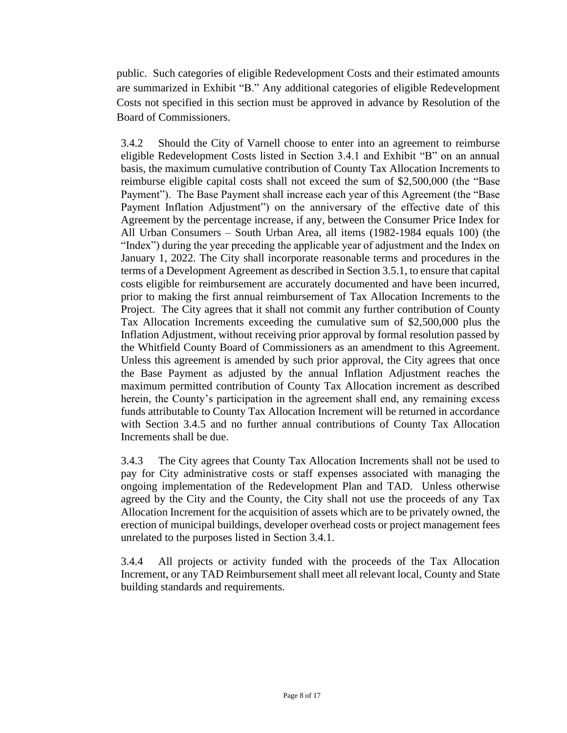public. Such categories of eligible Redevelopment Costs and their estimated amounts are summarized in Exhibit "B." Any additional categories of eligible Redevelopment Costs not specified in this section must be approved in advance by Resolution of the Board of Commissioners.

3.4.2 Should the City of Varnell choose to enter into an agreement to reimburse eligible Redevelopment Costs listed in Section 3.4.1 and Exhibit "B" on an annual basis, the maximum cumulative contribution of County Tax Allocation Increments to reimburse eligible capital costs shall not exceed the sum of \$2,500,000 (the "Base Payment"). The Base Payment shall increase each year of this Agreement (the "Base Payment Inflation Adjustment") on the anniversary of the effective date of this Agreement by the percentage increase, if any, between the Consumer Price Index for All Urban Consumers – South Urban Area, all items (1982-1984 equals 100) (the "Index") during the year preceding the applicable year of adjustment and the Index on January 1, 2022. The City shall incorporate reasonable terms and procedures in the terms of a Development Agreement as described in Section 3.5.1, to ensure that capital costs eligible for reimbursement are accurately documented and have been incurred, prior to making the first annual reimbursement of Tax Allocation Increments to the Project. The City agrees that it shall not commit any further contribution of County Tax Allocation Increments exceeding the cumulative sum of \$2,500,000 plus the Inflation Adjustment, without receiving prior approval by formal resolution passed by the Whitfield County Board of Commissioners as an amendment to this Agreement. Unless this agreement is amended by such prior approval, the City agrees that once the Base Payment as adjusted by the annual Inflation Adjustment reaches the maximum permitted contribution of County Tax Allocation increment as described herein, the County's participation in the agreement shall end, any remaining excess funds attributable to County Tax Allocation Increment will be returned in accordance with Section 3.4.5 and no further annual contributions of County Tax Allocation Increments shall be due.

3.4.3 The City agrees that County Tax Allocation Increments shall not be used to pay for City administrative costs or staff expenses associated with managing the ongoing implementation of the Redevelopment Plan and TAD. Unless otherwise agreed by the City and the County, the City shall not use the proceeds of any Tax Allocation Increment for the acquisition of assets which are to be privately owned, the erection of municipal buildings, developer overhead costs or project management fees unrelated to the purposes listed in Section 3.4.1.

3.4.4 All projects or activity funded with the proceeds of the Tax Allocation Increment, or any TAD Reimbursement shall meet all relevant local, County and State building standards and requirements.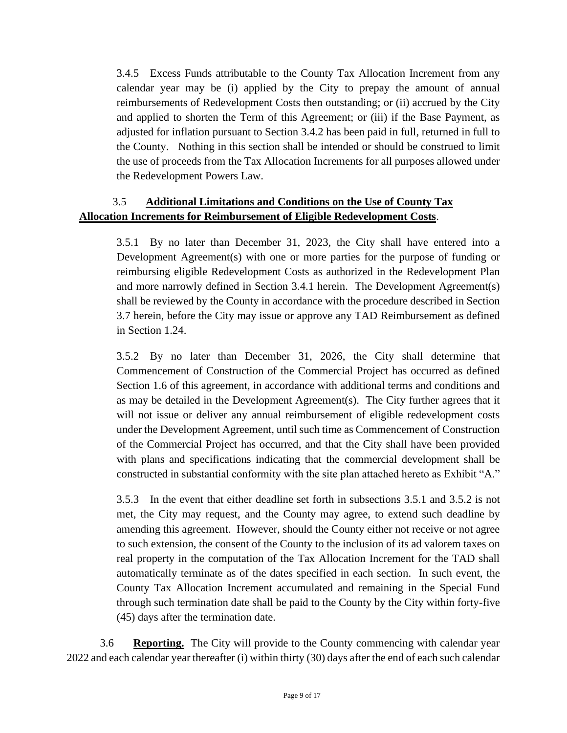3.4.5 Excess Funds attributable to the County Tax Allocation Increment from any calendar year may be (i) applied by the City to prepay the amount of annual reimbursements of Redevelopment Costs then outstanding; or (ii) accrued by the City and applied to shorten the Term of this Agreement; or (iii) if the Base Payment, as adjusted for inflation pursuant to Section 3.4.2 has been paid in full, returned in full to the County. Nothing in this section shall be intended or should be construed to limit the use of proceeds from the Tax Allocation Increments for all purposes allowed under the Redevelopment Powers Law.

# 3.5 **Additional Limitations and Conditions on the Use of County Tax Allocation Increments for Reimbursement of Eligible Redevelopment Costs**.

3.5.1 By no later than December 31, 2023, the City shall have entered into a Development Agreement(s) with one or more parties for the purpose of funding or reimbursing eligible Redevelopment Costs as authorized in the Redevelopment Plan and more narrowly defined in Section 3.4.1 herein. The Development Agreement(s) shall be reviewed by the County in accordance with the procedure described in Section 3.7 herein, before the City may issue or approve any TAD Reimbursement as defined in Section 1.24.

3.5.2 By no later than December 31, 2026, the City shall determine that Commencement of Construction of the Commercial Project has occurred as defined Section 1.6 of this agreement, in accordance with additional terms and conditions and as may be detailed in the Development Agreement(s). The City further agrees that it will not issue or deliver any annual reimbursement of eligible redevelopment costs under the Development Agreement, until such time as Commencement of Construction of the Commercial Project has occurred, and that the City shall have been provided with plans and specifications indicating that the commercial development shall be constructed in substantial conformity with the site plan attached hereto as Exhibit "A."

3.5.3 In the event that either deadline set forth in subsections 3.5.1 and 3.5.2 is not met, the City may request, and the County may agree, to extend such deadline by amending this agreement. However, should the County either not receive or not agree to such extension, the consent of the County to the inclusion of its ad valorem taxes on real property in the computation of the Tax Allocation Increment for the TAD shall automatically terminate as of the dates specified in each section. In such event, the County Tax Allocation Increment accumulated and remaining in the Special Fund through such termination date shall be paid to the County by the City within forty-five (45) days after the termination date.

3.6 **Reporting.** The City will provide to the County commencing with calendar year 2022 and each calendar year thereafter (i) within thirty (30) days after the end of each such calendar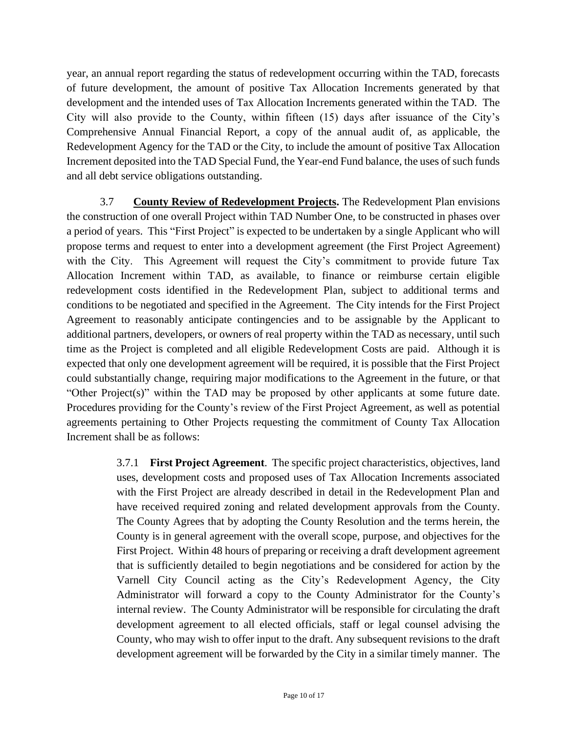year, an annual report regarding the status of redevelopment occurring within the TAD, forecasts of future development, the amount of positive Tax Allocation Increments generated by that development and the intended uses of Tax Allocation Increments generated within the TAD. The City will also provide to the County, within fifteen (15) days after issuance of the City's Comprehensive Annual Financial Report, a copy of the annual audit of, as applicable, the Redevelopment Agency for the TAD or the City, to include the amount of positive Tax Allocation Increment deposited into the TAD Special Fund, the Year-end Fund balance, the uses of such funds and all debt service obligations outstanding.

3.7 **County Review of Redevelopment Projects.** The Redevelopment Plan envisions the construction of one overall Project within TAD Number One, to be constructed in phases over a period of years. This "First Project" is expected to be undertaken by a single Applicant who will propose terms and request to enter into a development agreement (the First Project Agreement) with the City. This Agreement will request the City's commitment to provide future Tax Allocation Increment within TAD, as available, to finance or reimburse certain eligible redevelopment costs identified in the Redevelopment Plan, subject to additional terms and conditions to be negotiated and specified in the Agreement. The City intends for the First Project Agreement to reasonably anticipate contingencies and to be assignable by the Applicant to additional partners, developers, or owners of real property within the TAD as necessary, until such time as the Project is completed and all eligible Redevelopment Costs are paid. Although it is expected that only one development agreement will be required, it is possible that the First Project could substantially change, requiring major modifications to the Agreement in the future, or that "Other Project(s)" within the TAD may be proposed by other applicants at some future date. Procedures providing for the County's review of the First Project Agreement, as well as potential agreements pertaining to Other Projects requesting the commitment of County Tax Allocation Increment shall be as follows:

> 3.7.1 **First Project Agreement**. The specific project characteristics, objectives, land uses, development costs and proposed uses of Tax Allocation Increments associated with the First Project are already described in detail in the Redevelopment Plan and have received required zoning and related development approvals from the County. The County Agrees that by adopting the County Resolution and the terms herein, the County is in general agreement with the overall scope, purpose, and objectives for the First Project. Within 48 hours of preparing or receiving a draft development agreement that is sufficiently detailed to begin negotiations and be considered for action by the Varnell City Council acting as the City's Redevelopment Agency, the City Administrator will forward a copy to the County Administrator for the County's internal review. The County Administrator will be responsible for circulating the draft development agreement to all elected officials, staff or legal counsel advising the County, who may wish to offer input to the draft. Any subsequent revisions to the draft development agreement will be forwarded by the City in a similar timely manner. The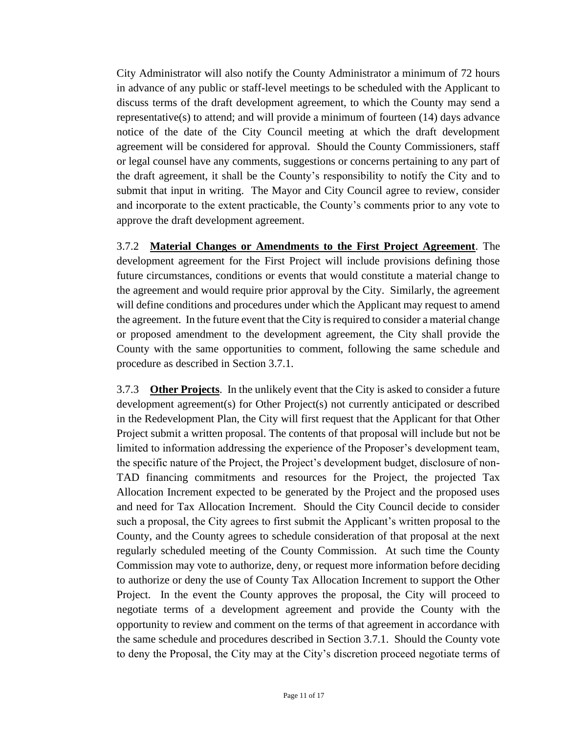City Administrator will also notify the County Administrator a minimum of 72 hours in advance of any public or staff-level meetings to be scheduled with the Applicant to discuss terms of the draft development agreement, to which the County may send a representative(s) to attend; and will provide a minimum of fourteen (14) days advance notice of the date of the City Council meeting at which the draft development agreement will be considered for approval. Should the County Commissioners, staff or legal counsel have any comments, suggestions or concerns pertaining to any part of the draft agreement, it shall be the County's responsibility to notify the City and to submit that input in writing. The Mayor and City Council agree to review, consider and incorporate to the extent practicable, the County's comments prior to any vote to approve the draft development agreement.

3.7.2 **Material Changes or Amendments to the First Project Agreement**. The development agreement for the First Project will include provisions defining those future circumstances, conditions or events that would constitute a material change to the agreement and would require prior approval by the City. Similarly, the agreement will define conditions and procedures under which the Applicant may request to amend the agreement. In the future event that the City is required to consider a material change or proposed amendment to the development agreement, the City shall provide the County with the same opportunities to comment, following the same schedule and procedure as described in Section 3.7.1.

3.7.3 **Other Projects**. In the unlikely event that the City is asked to consider a future development agreement(s) for Other Project(s) not currently anticipated or described in the Redevelopment Plan, the City will first request that the Applicant for that Other Project submit a written proposal. The contents of that proposal will include but not be limited to information addressing the experience of the Proposer's development team, the specific nature of the Project, the Project's development budget, disclosure of non-TAD financing commitments and resources for the Project, the projected Tax Allocation Increment expected to be generated by the Project and the proposed uses and need for Tax Allocation Increment. Should the City Council decide to consider such a proposal, the City agrees to first submit the Applicant's written proposal to the County, and the County agrees to schedule consideration of that proposal at the next regularly scheduled meeting of the County Commission. At such time the County Commission may vote to authorize, deny, or request more information before deciding to authorize or deny the use of County Tax Allocation Increment to support the Other Project. In the event the County approves the proposal, the City will proceed to negotiate terms of a development agreement and provide the County with the opportunity to review and comment on the terms of that agreement in accordance with the same schedule and procedures described in Section 3.7.1. Should the County vote to deny the Proposal, the City may at the City's discretion proceed negotiate terms of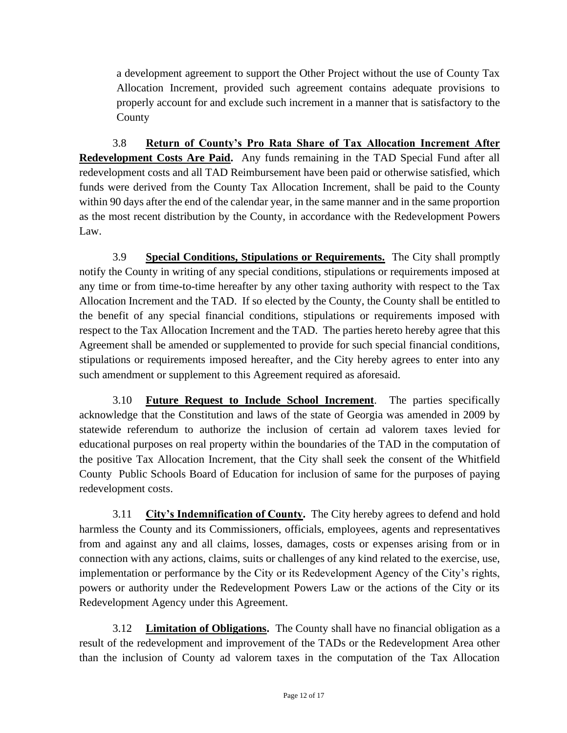a development agreement to support the Other Project without the use of County Tax Allocation Increment, provided such agreement contains adequate provisions to properly account for and exclude such increment in a manner that is satisfactory to the County

3.8 **Return of County's Pro Rata Share of Tax Allocation Increment After Redevelopment Costs Are Paid.** Any funds remaining in the TAD Special Fund after all redevelopment costs and all TAD Reimbursement have been paid or otherwise satisfied, which funds were derived from the County Tax Allocation Increment, shall be paid to the County within 90 days after the end of the calendar year, in the same manner and in the same proportion as the most recent distribution by the County, in accordance with the Redevelopment Powers Law.

3.9 **Special Conditions, Stipulations or Requirements.** The City shall promptly notify the County in writing of any special conditions, stipulations or requirements imposed at any time or from time-to-time hereafter by any other taxing authority with respect to the Tax Allocation Increment and the TAD. If so elected by the County, the County shall be entitled to the benefit of any special financial conditions, stipulations or requirements imposed with respect to the Tax Allocation Increment and the TAD. The parties hereto hereby agree that this Agreement shall be amended or supplemented to provide for such special financial conditions, stipulations or requirements imposed hereafter, and the City hereby agrees to enter into any such amendment or supplement to this Agreement required as aforesaid.

3.10 **Future Request to Include School Increment**. The parties specifically acknowledge that the Constitution and laws of the state of Georgia was amended in 2009 by statewide referendum to authorize the inclusion of certain ad valorem taxes levied for educational purposes on real property within the boundaries of the TAD in the computation of the positive Tax Allocation Increment, that the City shall seek the consent of the Whitfield County Public Schools Board of Education for inclusion of same for the purposes of paying redevelopment costs.

3.11 **City's Indemnification of County.** The City hereby agrees to defend and hold harmless the County and its Commissioners, officials, employees, agents and representatives from and against any and all claims, losses, damages, costs or expenses arising from or in connection with any actions, claims, suits or challenges of any kind related to the exercise, use, implementation or performance by the City or its Redevelopment Agency of the City's rights, powers or authority under the Redevelopment Powers Law or the actions of the City or its Redevelopment Agency under this Agreement.

3.12 **Limitation of Obligations.** The County shall have no financial obligation as a result of the redevelopment and improvement of the TADs or the Redevelopment Area other than the inclusion of County ad valorem taxes in the computation of the Tax Allocation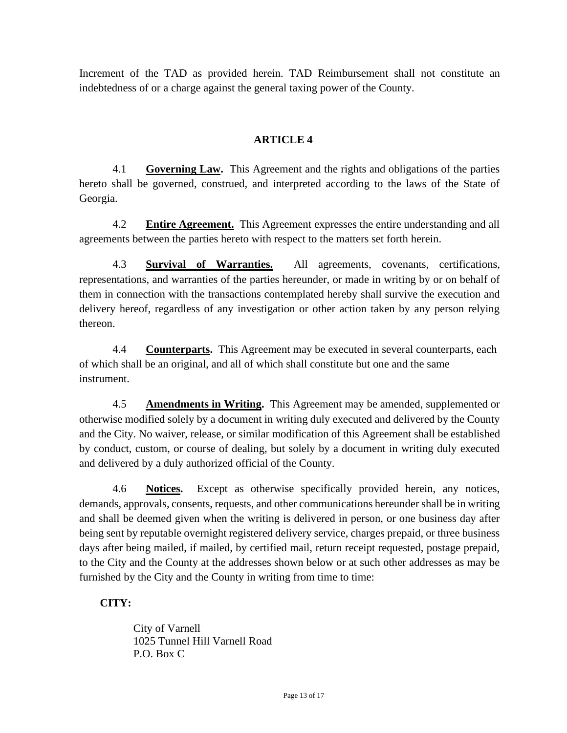Increment of the TAD as provided herein. TAD Reimbursement shall not constitute an indebtedness of or a charge against the general taxing power of the County.

### **ARTICLE 4**

4.1 **Governing Law.** This Agreement and the rights and obligations of the parties hereto shall be governed, construed, and interpreted according to the laws of the State of Georgia.

4.2 **Entire Agreement.** This Agreement expresses the entire understanding and all agreements between the parties hereto with respect to the matters set forth herein.

4.3 **Survival of Warranties.** All agreements, covenants, certifications, representations, and warranties of the parties hereunder, or made in writing by or on behalf of them in connection with the transactions contemplated hereby shall survive the execution and delivery hereof, regardless of any investigation or other action taken by any person relying thereon.

4.4 **Counterparts.** This Agreement may be executed in several counterparts, each of which shall be an original, and all of which shall constitute but one and the same instrument.

4.5 **Amendments in Writing.** This Agreement may be amended, supplemented or otherwise modified solely by a document in writing duly executed and delivered by the County and the City. No waiver, release, or similar modification of this Agreement shall be established by conduct, custom, or course of dealing, but solely by a document in writing duly executed and delivered by a duly authorized official of the County.

4.6 **Notices.** Except as otherwise specifically provided herein, any notices, demands, approvals, consents, requests, and other communications hereunder shall be in writing and shall be deemed given when the writing is delivered in person, or one business day after being sent by reputable overnight registered delivery service, charges prepaid, or three business days after being mailed, if mailed, by certified mail, return receipt requested, postage prepaid, to the City and the County at the addresses shown below or at such other addresses as may be furnished by the City and the County in writing from time to time:

### **CITY:**

City of Varnell 1025 Tunnel Hill Varnell Road P.O. Box C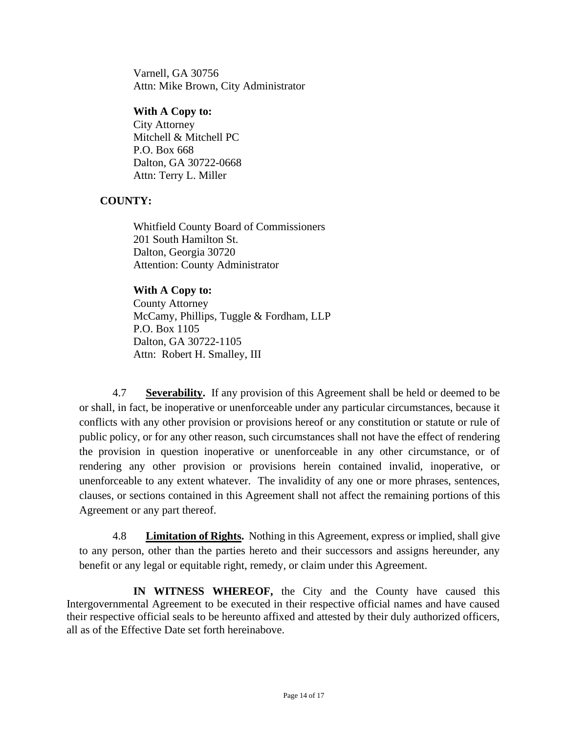Varnell, GA 30756 Attn: Mike Brown, City Administrator

#### **With A Copy to:**

City Attorney Mitchell & Mitchell PC P.O. Box 668 Dalton, GA 30722-0668 Attn: Terry L. Miller

#### **COUNTY:**

Whitfield County Board of Commissioners 201 South Hamilton St. Dalton, Georgia 30720 Attention: County Administrator

**With A Copy to:** County Attorney McCamy, Phillips, Tuggle & Fordham, LLP P.O. Box 1105 Dalton, GA 30722-1105 Attn: Robert H. Smalley, III

4.7 **Severability.** If any provision of this Agreement shall be held or deemed to be or shall, in fact, be inoperative or unenforceable under any particular circumstances, because it conflicts with any other provision or provisions hereof or any constitution or statute or rule of public policy, or for any other reason, such circumstances shall not have the effect of rendering the provision in question inoperative or unenforceable in any other circumstance, or of rendering any other provision or provisions herein contained invalid, inoperative, or unenforceable to any extent whatever. The invalidity of any one or more phrases, sentences, clauses, or sections contained in this Agreement shall not affect the remaining portions of this Agreement or any part thereof.

4.8 **Limitation of Rights.** Nothing in this Agreement, express or implied, shall give to any person, other than the parties hereto and their successors and assigns hereunder, any benefit or any legal or equitable right, remedy, or claim under this Agreement.

**IN WITNESS WHEREOF,** the City and the County have caused this Intergovernmental Agreement to be executed in their respective official names and have caused their respective official seals to be hereunto affixed and attested by their duly authorized officers, all as of the Effective Date set forth hereinabove.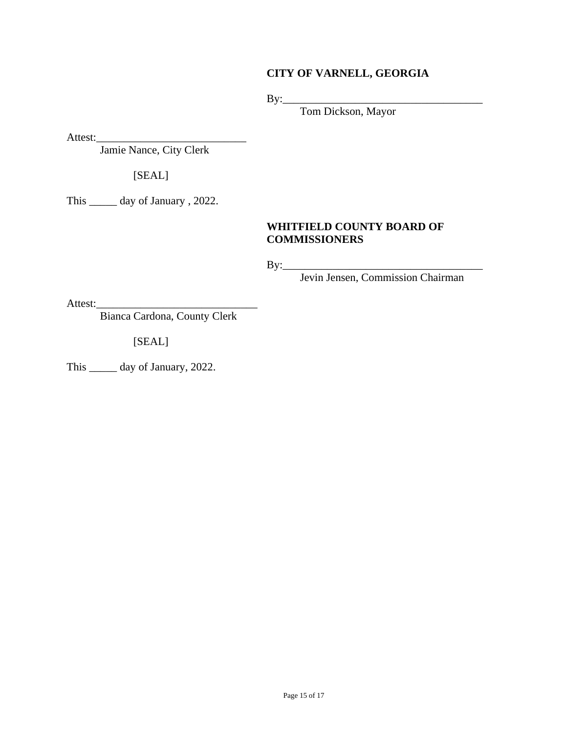### **CITY OF VARNELL, GEORGIA**

By:\_\_\_\_\_\_\_\_\_\_\_\_\_\_\_\_\_\_\_\_\_\_\_\_\_\_\_\_\_\_\_\_\_\_\_\_

Tom Dickson, Mayor

Attest:\_\_\_\_\_\_\_\_\_\_\_\_\_\_\_\_\_\_\_\_\_\_\_\_\_\_\_

Jamie Nance, City Clerk

[SEAL]

This \_\_\_\_\_ day of January , 2022.

### **WHITFIELD COUNTY BOARD OF COMMISSIONERS**

By:\_\_\_\_\_\_\_\_\_\_\_\_\_\_\_\_\_\_\_\_\_\_\_\_\_\_\_\_\_\_\_\_\_\_\_\_

Jevin Jensen, Commission Chairman

Attest:\_\_\_\_\_\_\_\_\_\_\_\_\_\_\_\_\_\_\_\_\_\_\_\_\_\_\_\_\_

Bianca Cardona, County Clerk

[SEAL]

This \_\_\_\_\_ day of January, 2022.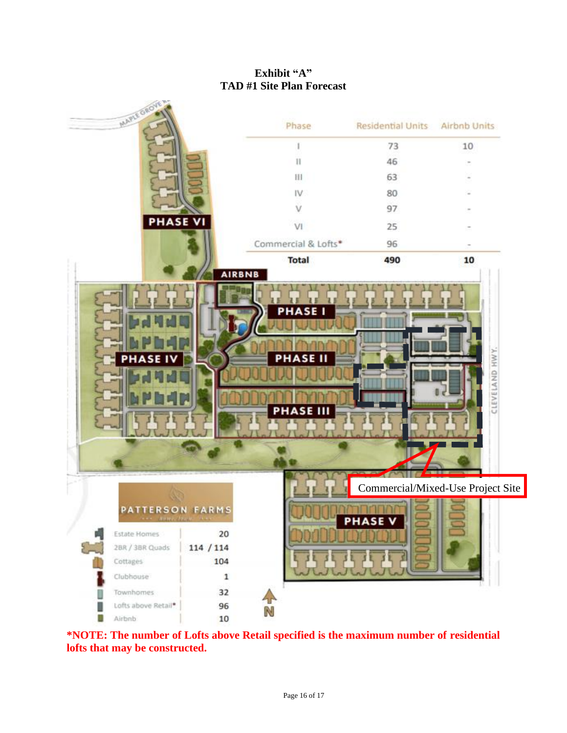# **Exhibit "A" TAD #1 Site Plan Forecast**



**\*NOTE: The number of Lofts above Retail specified is the maximum number of residential lofts that may be constructed.**